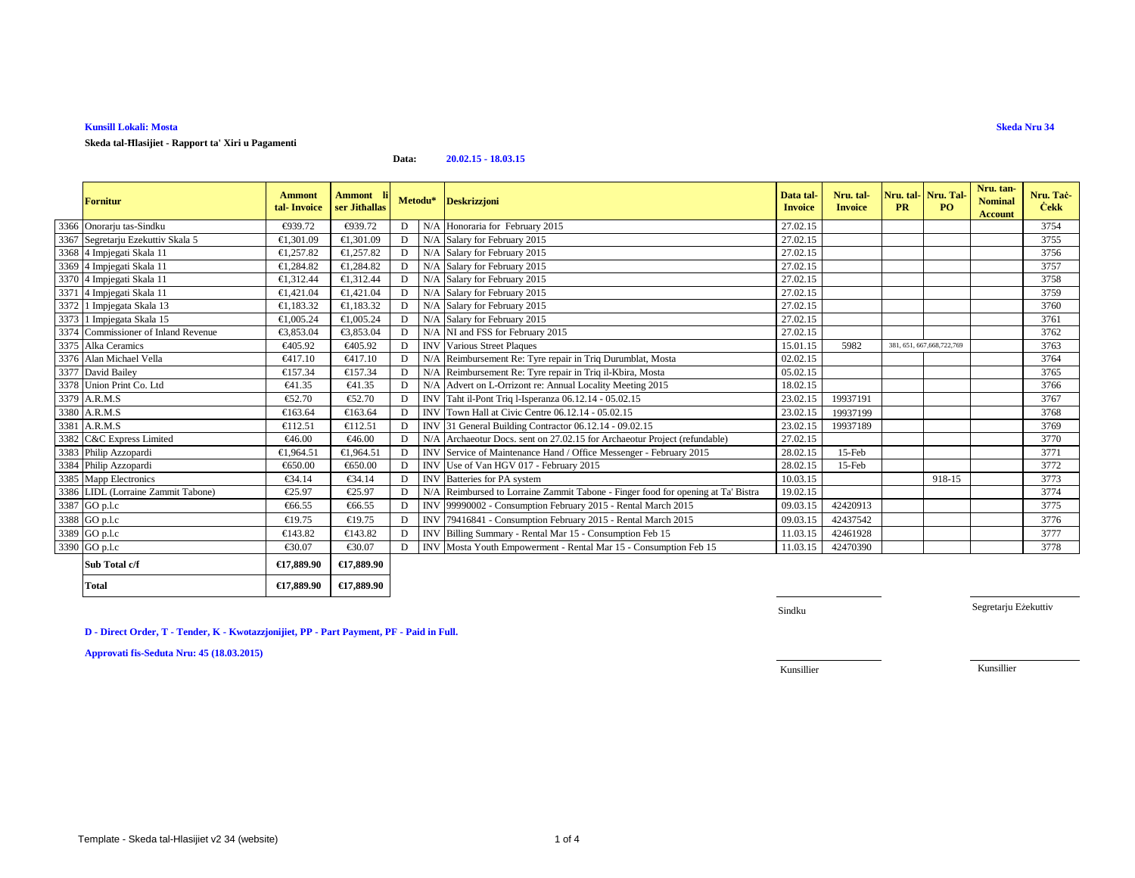## **Kunsill Lokali: Mosta**

**Skeda tal-Ħlasijiet - Rapport ta' Xiri u Pagamenti**

### **Data:20.02.15 - 18.03.15**

| <b>Fornitur</b>                     | <b>Ammont</b><br>tal-Invoice | Ammont li<br>ser Jithallas | Metodu*     |     | <b>Deskrizzjoni</b>                                                         | Data tal<br><b>Invoice</b> | Nru. tal-<br><b>Invoice</b> | <b>PR</b> | Nru. tal- Nru. Tal-<br>PO.   | Nru. tan-<br><b>Nominal</b><br><b>Account</b> | Nru. Tac-<br><b>Cekk</b> |
|-------------------------------------|------------------------------|----------------------------|-------------|-----|-----------------------------------------------------------------------------|----------------------------|-----------------------------|-----------|------------------------------|-----------------------------------------------|--------------------------|
| 3366 Onorarju tas-Sindku            | €939.72                      | €939.72                    | D           | N/A | Honoraria for February 2015                                                 | 27.02.15                   |                             |           |                              |                                               | 3754                     |
| 3367 Segretarju Ezekuttiv Skala 5   | €1,301.09                    | €1,301.09                  | D           |     | N/A Salary for Februry 2015                                                 | 27.02.15                   |                             |           |                              |                                               | 3755                     |
| 3368 4 Impjegati Skala 11           | €1,257.82                    | €1,257.82                  | $\mathbf D$ |     | N/A Salary for February 2015                                                | 27.02.15                   |                             |           |                              |                                               | 3756                     |
| 3369 4 Impjegati Skala 11           | €1,284.82                    | €1,284.82                  | D           |     | N/A Salary for February 2015                                                | 27.02.15                   |                             |           |                              |                                               | 3757                     |
| 3370 4 Impjegati Skala 11           | €1,312.44                    | €1,312.44                  | D           |     | N/A Salary for February 2015                                                | 27.02.15                   |                             |           |                              |                                               | 3758                     |
| 3371 4 Impjegati Skala 11           | €1,421,04                    | €1,421.04                  | D           |     | N/A Salary for February 2015                                                | 27.02.15                   |                             |           |                              |                                               | 3759                     |
| 3372 1 Impjegata Skala 13           | €1,183.32                    | €1,183.32                  | D           |     | N/A Salary for February 2015                                                | 27.02.15                   |                             |           |                              |                                               | 3760                     |
| 3373 1 Impjegata Skala 15           | €1,005.24                    | €1,005.24                  | D           |     | N/A Salary for February 2015                                                | 27.02.15                   |                             |           |                              |                                               | 3761                     |
| 3374 Commissioner of Inland Revenue | €3,853.04                    | €3,853.04                  | D           |     | N/A NI and FSS for Ebruary 2015                                             | 27.02.15                   |                             |           |                              |                                               | 3762                     |
| 3375 Alka Ceramics                  | €405.92                      | €405.92                    | D           |     | <b>INV</b> Various Street Plaques                                           | 15.01.15                   | 5982                        |           | 381, 651, 667, 668, 722, 769 |                                               | 3763                     |
| 3376 Alan Michael Vella             | €417.10                      | €417.10                    | D           | N/A | Reimbursement Re: Tyre reair in Triq Durumblat, Mosta                       | 02.02.15                   |                             |           |                              |                                               | 3764                     |
| 3377 David Bailey                   | €157.34                      | €157.34                    | D           | N/A | Reimbursement Re: Tyre repair inTriq il-Kbira, Mosta                        | 05.02.15                   |                             |           |                              |                                               | 3765                     |
| 3378 Union Print Co. Ltd            | €41.35                       | €41.35                     | D           |     | N/A Advert on L-Orrizont re: Annal Locality Meeting 2015                    | 18.02.15                   |                             |           |                              |                                               | 3766                     |
| 3379 A.R.M.S                        | €52.70                       | €52.70                     | D           |     | INV Taht il-Pont Triq l-Isperanza 06.12.14 - 05.02.15                       | 23.02.15                   | 19937191                    |           |                              |                                               | 3767                     |
| 3380 A.R.M.S                        | €163.64                      | €163.64                    | D           |     | INV Town Hall at Civic Centre 06.12.14 - 05.02.15                           | 23.02.15                   | 19937199                    |           |                              |                                               | 3768                     |
| 3381 A.R.M.S                        | €112.51                      | €112.51                    | D           |     | INV 31 General Building Contractor 06.12.14 - 09.02.15                      | 23.02.15                   | 19937189                    |           |                              |                                               | 3769                     |
| 3382 C&C Express Limited            | €46.00                       | €46.00                     | D           | N/A | Archaeotur Docs. sent on 27.0215 for Archaeotur Project (refundable)        | 27.02.15                   |                             |           |                              |                                               | 3770                     |
| 3383 Philip Azzopardi               | €1,964.51                    | €1,964.51                  | D           |     | INV Service of Maintenance Hand Office Messenger - February 2015            | 28.02.15                   | 15-Feb                      |           |                              |                                               | 3771                     |
| 3384 Philip Azzopardi               | €650.00                      | €650.00                    | D           |     | INV Use of Van HGV 017 - February 2015                                      | 28.02.15                   | $15$ -Feb                   |           |                              |                                               | 3772                     |
| 3385 Mapp Electronics               | €34.14                       | €34.14                     | D           |     | INV Batteries for PA system                                                 | 10.03.15                   |                             |           | 918-15                       |                                               | 3773                     |
| 3386 LIDL (Lorraine Zammit Tabone)  | €25.97                       | €25.97                     | D           | N/A | Reimbursed to Lorraie Zammit Tabone - Finger food for opening at Ta' Bistra | 19.02.15                   |                             |           |                              |                                               | 3774                     |
| 3387 GO p.l.c                       | €66.55                       | €66.55                     | D           |     | INV 99990002 - Consumption February 2015 - Rental March 2015                | 09.03.15                   | 42420913                    |           |                              |                                               | 3775                     |
| 3388 GO p.l.c                       | €19.75                       | €19.75                     | D           |     | INV 79416841 - Consumption February 2015 - Rental March 2015                | 09.03.15                   | 42437542                    |           |                              |                                               | 3776                     |
| 3389 GO p.l.c                       | €143.82                      | €143.82                    | D           |     | INV Billing Summary - Rental Mar 15 - Consumption Fb 15                     | 11.03.15                   | 42461928                    |           |                              |                                               | 3777                     |
| 3390 GO p.l.c                       | €30.07                       | €30.07                     | D           |     | INV Mosta Youth Empowerment - Rental Mar 15 - Consumptin Feb 15             | 11.03.15                   | 42470390                    |           |                              |                                               | 3778                     |
| Sub Total c/f                       | €17,889.90                   | €17,889.90                 |             |     |                                                                             |                            |                             |           |                              |                                               |                          |
| <b>Total</b>                        | €17,889.90                   | €17,889.90                 |             |     |                                                                             |                            |                             |           |                              |                                               |                          |

Sindku

Segretarju Eżekuttiv

**D - Direct Order, T - Tender, K - Kwotazzjonijiet, PP - Part Payment, PF - Paid in Full.**

**Approvati fis-Seduta Nru: 45 (18.03.2015)**

Kunsillier

Kunsillier

# **Skeda Nru 34**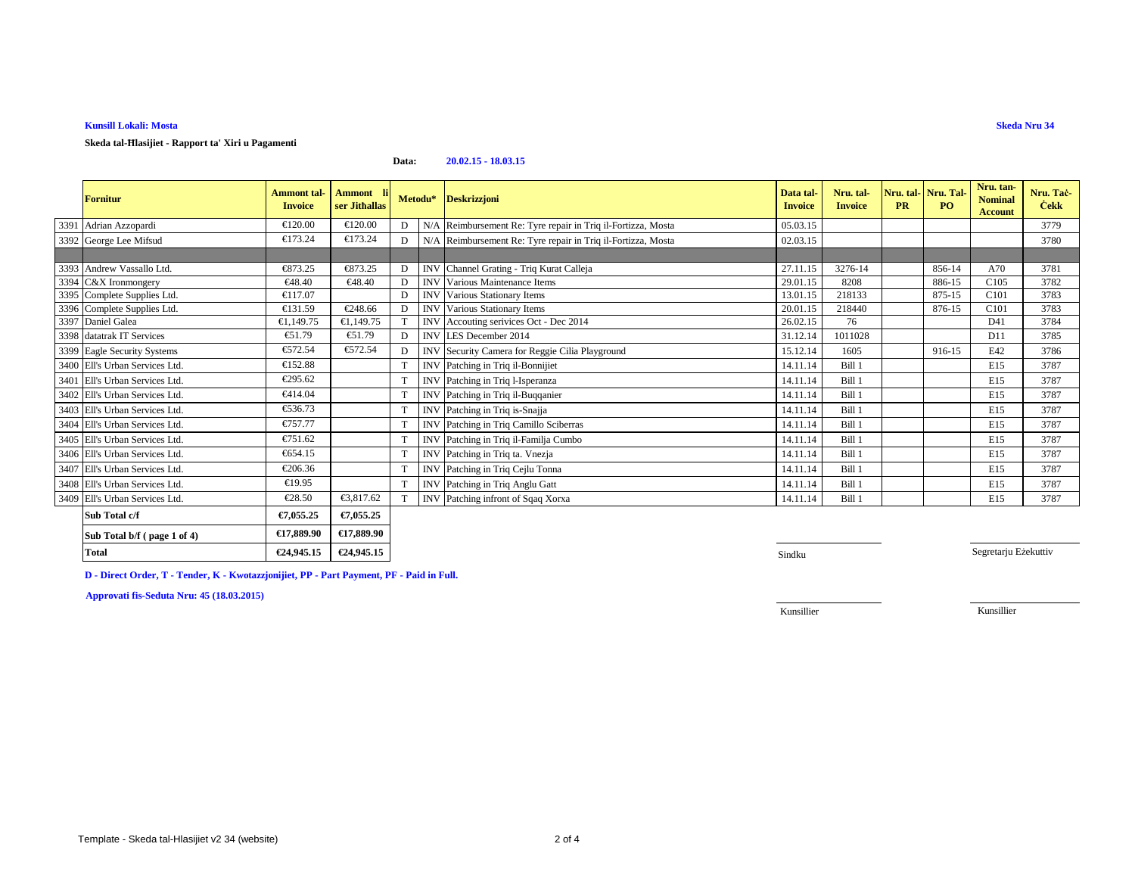## **Kunsill Lokali: Mosta**

**Skeda tal-Ħlasijiet - Rapport ta' Xiri u Pagamenti**

### **Data:20.02.15 - 18.03.15**

| <b>Fornitur</b>                | Ammont tal-<br><b>Invoice</b> | Ammont li<br>ser Jithallas |   |            | Metodu* Deskrizzjoni                                         | Data tal<br><b>Invoice</b> | Nru. tal-<br><b>Invoice</b> | <b>PR</b> | Nru. tal-Nru. Tal<br>P <sub>O</sub> | Nru. tan-<br><b>Nominal</b><br><b>Account</b> | Nru. Tac-<br><b>Cekk</b> |
|--------------------------------|-------------------------------|----------------------------|---|------------|--------------------------------------------------------------|----------------------------|-----------------------------|-----------|-------------------------------------|-----------------------------------------------|--------------------------|
| 3391 Adrian Azzopardi          | €120.00                       | €120.00                    | D |            | N/A Reimbursement Re: Tyre repair in Triq il-Fortizza, Mosta | 05.03.15                   |                             |           |                                     |                                               | 3779                     |
| 3392 George Lee Mifsud         | €173.24                       | €173.24                    | D |            | N/A Reimbursement Re: Tyre repair in Triq il-Fortizza, Mosta | 02.03.15                   |                             |           |                                     |                                               | 3780                     |
|                                |                               |                            |   |            |                                                              |                            |                             |           |                                     |                                               |                          |
| 3393 Andrew Vassallo Ltd.      | €873.25                       | €873.25                    | D |            | INV Channel Grating - Triq Kurat Calleja                     | 27.11.15                   | 3276-14                     |           | 856-14                              | A70                                           | 3781                     |
| 3394 C&X Ironmongery           | €48.40                        | €48.40                     | D |            | <b>INV</b> Various Maintenance Items                         | 29.01.15                   | 8208                        |           | 886-15                              | C105                                          | 3782                     |
| 3395 Complete Supplies Ltd.    | €117.07                       |                            | D | <b>INV</b> | Various Stationary Items                                     | 13.01.15                   | 218133                      |           | 875-15                              | C101                                          | 3783                     |
| 3396 Complete Supplies Ltd.    | €131.59                       | €248.66                    | D | <b>INV</b> | Various Stationary Items                                     | 20.01.15                   | 218440                      |           | 876-15                              | C101                                          | 3783                     |
| 3397 Daniel Galea              | €1,149.75                     | €1,149.75                  | T |            | INV Accouting serivices Oct - Dec 2014                       | 26.02.15                   | 76                          |           |                                     | D41                                           | 3784                     |
| 3398 datatrak IT Services      | $\epsilon$ 51.79              | €51.79                     | D |            | INV LES December 2014                                        | 31.12.14                   | 1011028                     |           |                                     | D11                                           | 3785                     |
| 3399 Eagle Security Systems    | €572.54                       | €572.54                    | D |            | INV Security Camera for Reggie Cilia Playground              | 15.12.14                   | 1605                        |           | 916-15                              | E42                                           | 3786                     |
| 3400 Ell's Urban Services Ltd. | €152.88                       |                            | T |            | INV Patching in Triq il-Bonnijiet                            | 14.11.14                   | Bill 1                      |           |                                     | E15                                           | 3787                     |
| 3401 Ell's Urban Services Ltd. | €295.62                       |                            | T |            | INV Patching in Triq l-Isperanza                             | 14.11.14                   | <b>Bill 1</b>               |           |                                     | E15                                           | 3787                     |
| 3402 Ell's Urban Services Ltd. | €414.04                       |                            | T | <b>INV</b> | Patching in Triq il-Buqqanier                                | 14.11.14                   | Bill 1                      |           |                                     | E15                                           | 3787                     |
| 3403 Ell's Urban Services Ltd. | €536.73                       |                            | T | <b>INV</b> | Patching in Triq is-Snajja                                   | 14.11.14                   | Bill 1                      |           |                                     | E15                                           | 3787                     |
| 3404 Ell's Urban Services Ltd. | €757.77                       |                            | T | <b>INV</b> | Patching in Triq Camillo Sciberras                           | 14.11.14                   | Bill 1                      |           |                                     | E15                                           | 3787                     |
| 3405 Ell's Urban Services Ltd. | €751.62                       |                            | T |            | INV Patching in Triq il-Familja Cumbo                        | 14.11.14                   | Bill 1                      |           |                                     | E15                                           | 3787                     |
| 3406 Ell's Urban Services Ltd. | €654.15                       |                            | T | <b>INV</b> | Patching in Triq ta. Vnezja                                  | 14.11.14                   | Bill 1                      |           |                                     | E15                                           | 3787                     |
| 3407 Ell's Urban Services Ltd. | €206.36                       |                            | T | <b>INV</b> | Patching in Triq Cejlu Tonna                                 | 14.11.14                   | Bill 1                      |           |                                     | E15                                           | 3787                     |
| 3408 Ell's Urban Services Ltd. | €19.95                        |                            | T | <b>INV</b> | Patching in Triq Anglu Gatt                                  | 14.11.14                   | Bill 1                      |           |                                     | E15                                           | 3787                     |
| 3409 Ell's Urban Services Ltd. | €28.50                        | €3,817.62                  | T | <b>INV</b> | Patching infront of Sqaq Xorxa                               | 14.11.14                   | Bill 1                      |           |                                     | E15                                           | 3787                     |
| Sub Total c/f                  | €7,055.25                     | €7,055.25                  |   |            |                                                              |                            |                             |           |                                     |                                               |                          |

| $\sim$ $\sim$ $\sim$ $\sim$ $\sim$ $\sim$ | ---------            | --------             |
|-------------------------------------------|----------------------|----------------------|
| Sub Total b/f (page 1 of 4)               | £17,889,90           | $\epsilon$ 17.889.90 |
| <b>Total</b>                              | $\epsilon$ 24,945.15 | €24,945.15           |

Sindku Shahara a shekarar 1989 haqida tekshirilgan tekshirilgan tekshirilgan tekshirilgan tekshirilgan tekshiri

Segretarju Eżekuttiv

**D - Direct Order, T - Tender, K - Kwotazzjonijiet, PP - Part Payment, PF - Paid in Full.**

**Approvati fis-Seduta Nru: 45 (18.03.2015)**

Kunsillier

Kunsillier

**Skeda Nru 34**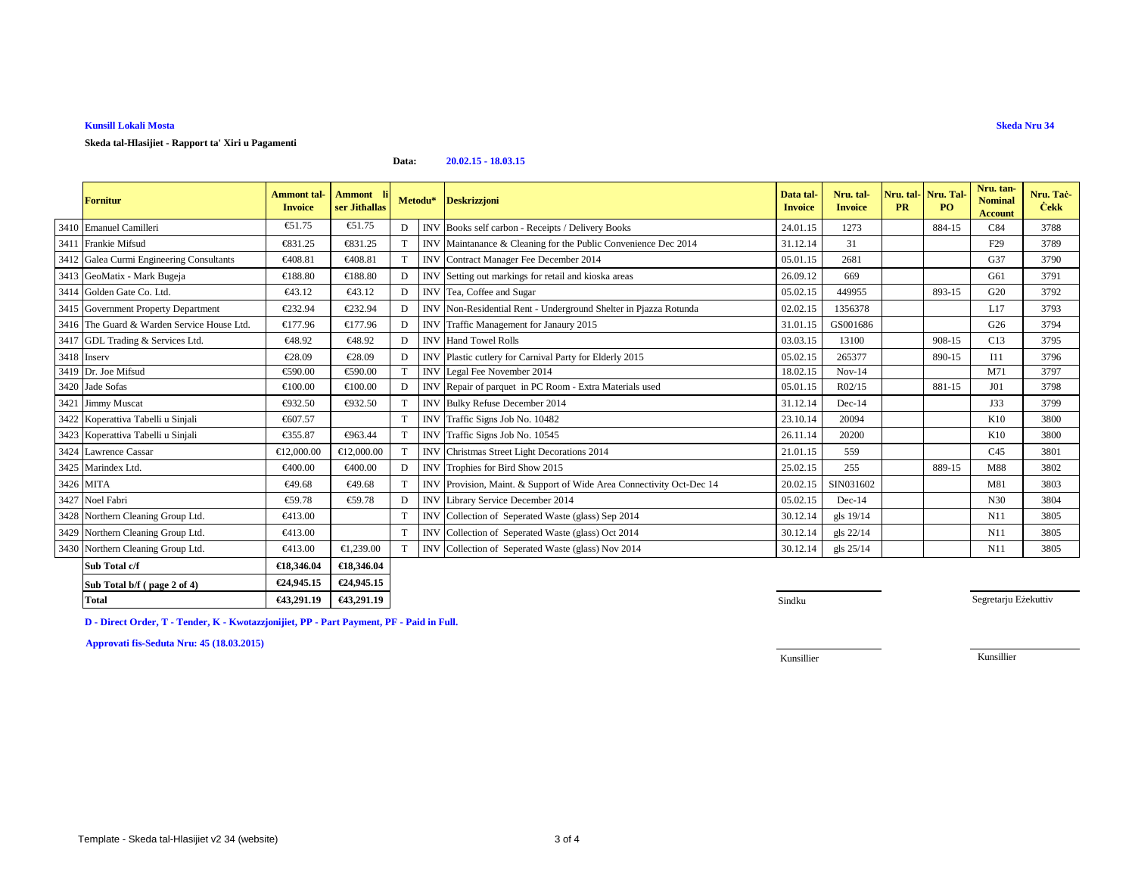# **Kunsill Lokali Mosta**

### **Skeda tal-Hlasijiet - Rapport ta' Xiri u Pagamenti**

#### **Data:20.02.15 - 18.03.15**

| <b>Fornitur</b>                            | <b>Ammont</b> tal-<br><b>Invoice</b> | Ammont li<br>ser Jithallas | Metodu* |            | <b>Deskrizzjoni</b>                                              | Data tal<br><b>Invoice</b> | Nru. tal-<br><b>Invoice</b> | Nru. tal-Nru. Tal<br><b>PR</b> | <b>PO</b> | Nru. tan-<br><b>Nominal</b><br><b>Account</b> | Nru. Tac-<br><b>Cekk</b> |
|--------------------------------------------|--------------------------------------|----------------------------|---------|------------|------------------------------------------------------------------|----------------------------|-----------------------------|--------------------------------|-----------|-----------------------------------------------|--------------------------|
| 3410 Emanuel Camilleri                     | €51.75                               | €51.75                     | D       |            | INV Books self carbon - Receipts / Delivery Books                | 24.01.15                   | 1273                        |                                | 884-15    | C84                                           | 3788                     |
| 3411 Frankie Mifsud                        | €831.25                              | €831.25                    |         | <b>INV</b> | Maintanance & Cleaning for the Public Convenience Dec 2014       | 31.12.14                   | 31                          |                                |           | F <sub>29</sub>                               | 3789                     |
| 3412 Galea Curmi Engineering Consultants   | €408.81                              | €408.81                    |         | <b>INV</b> | ContractManager Fee December 2014                                | 05.01.15                   | 2681                        |                                |           | G37                                           | 3790                     |
| 3413 GeoMatix - Mark Bugeja                | €188.80                              | €188.80                    | D       |            | INV Setting out markings foretail and kioska areas               | 26.09.12                   | 669                         |                                |           | G61                                           | 3791                     |
| 3414 Golden Gate Co. Ltd.                  | €43.12                               | €43.12                     | D       |            | INV Tea, Coffee and Sugar                                        | 05.02.15                   | 449955                      |                                | 893-15    | G20                                           | 3792                     |
| 3415 Government Property Department        | €232.94                              | €232.94                    | D       | <b>INV</b> | Non-Residential Rat - Underground Shelter in Pjazza Rotunda      | 02.02.15                   | 1356378                     |                                |           | L17                                           | 3793                     |
| 3416 The Guard & Warden Service House Ltd. | €177.96                              | €177.96                    | D       | <b>INV</b> | Traffic Minagement for Janaury 2015                              | 31.01.15                   | GS001686                    |                                |           | G26                                           | 3794                     |
| 3417 GDL Trading & Services Ltd.           | €48.92                               | €48.92                     | D       | <b>INV</b> | <b>Hand Towel Rolls</b>                                          | 03.03.15                   | 13100                       |                                | 908-15    | C13                                           | 3795                     |
| 3418 Inserv                                | €28.09                               | €28.09                     | D       | <b>INV</b> | Plastic cutlery for Carnival Party for Elderly2015               | 05.02.15                   | 265377                      |                                | 890-15    | I11                                           | 3796                     |
| 3419 Dr. Joe Mifsud                        | €590.00                              | €590.00                    |         | <b>INV</b> | Legal Fee November 2014                                          | 18.02.15                   | $Nov-14$                    |                                |           | M71                                           | 3797                     |
| 3420 Jade Sofas                            | €100.00                              | €100.00                    | D       | <b>INV</b> | Repair of parquet in PC Room - Extra Mterials used               | 05.01.15                   | R02/15                      |                                | 881-15    | J <sub>01</sub>                               | 3798                     |
| 3421 Jimmy Muscat                          | €932.50                              | €932.50                    |         | <b>INV</b> | Bulky Refuse December 2014                                       | 31.12.14                   | $Dec-14$                    |                                |           | J33                                           | 3799                     |
| 3422 Koperattiva Tabelli u Sinjali         | €607.57                              |                            | T       |            | INV Traffic Signs Job No.10482                                   | 23.10.14                   | 20094                       |                                |           | K10                                           | 3800                     |
| 3423 Koperattiva Tabelli u Sinjali         | €355.87                              | €963.44                    |         | <b>INV</b> | Traffic Signs JobNo. 10545                                       | 26.11.14                   | 20200                       |                                |           | K10                                           | 3800                     |
| 3424 Lawrence Cassar                       | €12,000.00                           | €12,000.00                 |         | <b>INV</b> | Christmas Street Light Deorations 2014                           | 21.01.15                   | 559                         |                                |           | C45                                           | 3801                     |
| 3425 Marindex Ltd.                         | €400.00                              | €400.00                    | D       |            | INV Trophies for Bird Show 2015                                  | 25.02.15                   | 255                         |                                | 889-15    | M88                                           | 3802                     |
| 3426 MITA                                  | €49.68                               | €49.68                     |         | <b>INV</b> | Provision, Maint. & Support of Wide Area Connectivity Oct-Dec 14 | 20.02.15                   | SIN031602                   |                                |           | M81                                           | 3803                     |
| 3427 Noel Fabri                            | €59.78                               | €59.78                     | D       |            | <b>INV</b> Library Service December 2014                         | 05.02.15                   | $Dec-14$                    |                                |           | N30                                           | 3804                     |
| 3428 Northern Cleaning Group Ltd.          | €413.00                              |                            | T       |            | INV Collection of SeperatedWaste (glass) Sep 2014                | 30.12.14                   | gls 19/14                   |                                |           | N11                                           | 3805                     |
| 3429 Northern Cleaning Group Ltd.          | €413.00                              |                            | T       |            | INV Collection of SeperatedWaste (glass) Oct 2014                | 30.12.14                   | gls 22/14                   |                                |           | N11                                           | 3805                     |
| 3430 Northern Cleaning Group Ltd.          | €413.00                              | €1,239.00                  |         | <b>INV</b> | Collection of Seperted Waste (glass) Nov 2014                    | 30.12.14                   | gls 25/14                   |                                |           | N11                                           | 3805                     |
| Sub Total c/f                              | €18,346.04                           | €18,346.04                 |         |            |                                                                  |                            |                             |                                |           |                                               |                          |

| <b>Total</b>                | €43,291.19 | €43,291,19           |
|-----------------------------|------------|----------------------|
| Sub Total b/f (page 2 of 4) | €24,945.15 | $\epsilon$ 24,945.15 |
| <b>Sub</b> Total c/f        | €18.346.04 | €18,346,04           |

Segretarju Eżekuttiv

**D - Direct Order, T - Tender, K - Kwotazzjonijiet, PP - Part Payment, PF - Paid in Full.**

**Approvati fis-Seduta Nru: 45 (18.03.2015)**

Kunsillier

Kunsillier

**Skeda Nru 34**